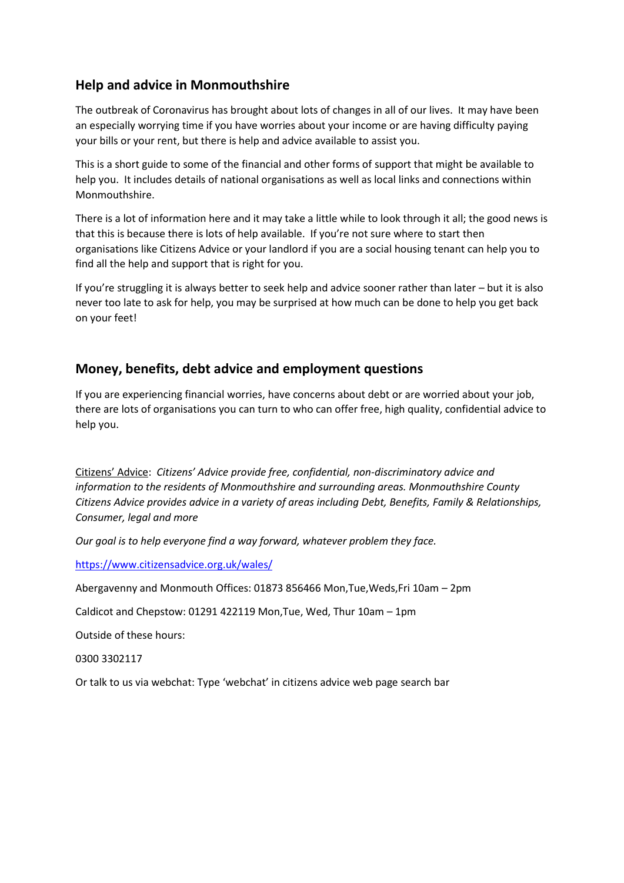## **Help and advice in Monmouthshire**

The outbreak of Coronavirus has brought about lots of changes in all of our lives. It may have been an especially worrying time if you have worries about your income or are having difficulty paying your bills or your rent, but there is help and advice available to assist you.

This is a short guide to some of the financial and other forms of support that might be available to help you. It includes details of national organisations as well as local links and connections within Monmouthshire.

There is a lot of information here and it may take a little while to look through it all; the good news is that this is because there is lots of help available. If you're not sure where to start then organisations like Citizens Advice or your landlord if you are a social housing tenant can help you to find all the help and support that is right for you.

If you're struggling it is always better to seek help and advice sooner rather than later – but it is also never too late to ask for help, you may be surprised at how much can be done to help you get back on your feet!

#### **Money, benefits, debt advice and employment questions**

If you are experiencing financial worries, have concerns about debt or are worried about your job, there are lots of organisations you can turn to who can offer free, high quality, confidential advice to help you.

Citizens' Advice: *Citizens' Advice provide free, confidential, non-discriminatory advice and information to the residents of Monmouthshire and surrounding areas. Monmouthshire County Citizens Advice provides advice in a variety of areas including Debt, Benefits, Family & Relationships, Consumer, legal and more*

*Our goal is to help everyone find a way forward, whatever problem they face.*

<https://www.citizensadvice.org.uk/wales/>

Abergavenny and Monmouth Offices: 01873 856466 Mon,Tue,Weds,Fri 10am – 2pm

Caldicot and Chepstow: 01291 422119 Mon,Tue, Wed, Thur 10am – 1pm

Outside of these hours:

0300 3302117

Or talk to us via webchat: Type 'webchat' in citizens advice web page search bar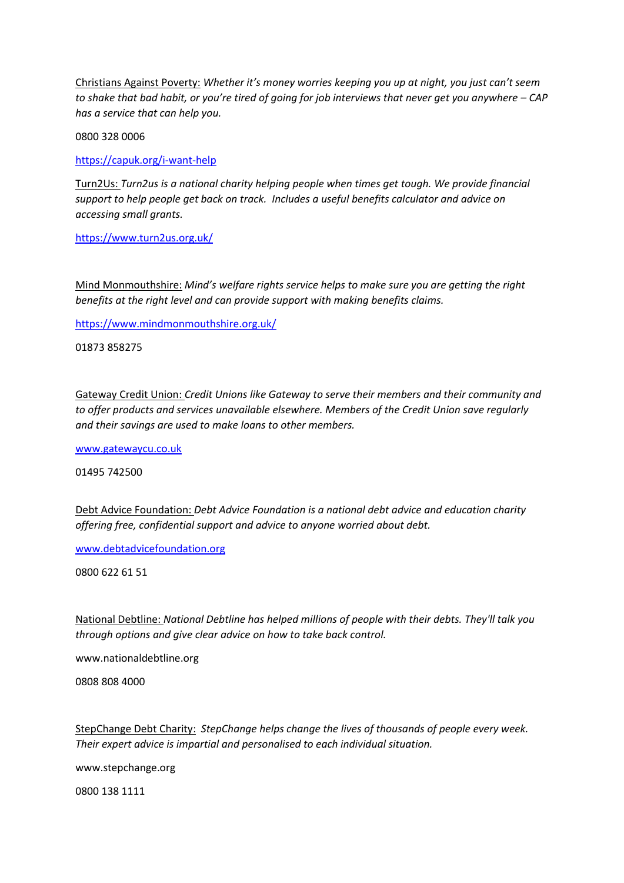Christians Against Poverty: *Whether it's money worries keeping you up at night, you just can't seem to shake that bad habit, or you're tired of going for job interviews that never get you anywhere – CAP has a service that can help you.*

0800 328 0006

<https://capuk.org/i-want-help>

Turn2Us: *Turn2us is a national charity helping people when times get tough. We provide financial support to help people get back on track. Includes a useful benefits calculator and advice on accessing small grants.*

<https://www.turn2us.org.uk/>

Mind Monmouthshire: *Mind's welfare rights service helps to make sure you are getting the right benefits at the right level and can provide support with making benefits claims.*

<https://www.mindmonmouthshire.org.uk/>

01873 858275

Gateway Credit Union: *Credit Unions like Gateway to serve their members and their community and to offer products and services unavailable elsewhere. Members of the Credit Union save regularly and their savings are used to make loans to other members.*

[www.gatewaycu.co.uk](http://www.gatewaycu.co.uk/)

[01495 742500](tel:01495742500)

Debt Advice Foundation: *Debt Advice Foundation is a national debt advice and education charity offering free, confidential support and advice to anyone worried about debt.*

[www.debtadvicefoundation.org](http://www.debtadvicefoundation.org/)

0800 622 61 51

National Debtline: *National Debtline has helped millions of people with their debts. They'll talk you through options and give clear advice on how to take back control.*

www.nationaldebtline.org

0808 808 4000

StepChange Debt Charity: *StepChange helps change the lives of thousands of people every week. Their expert advice is impartial and personalised to each individual situation.*

www.stepchange.org

0800 138 1111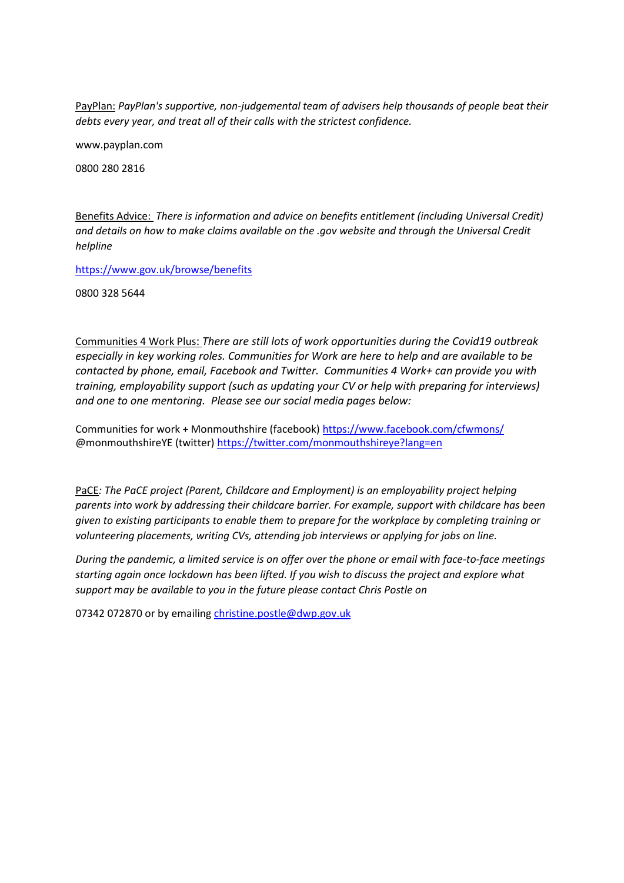PayPlan: *PayPlan's supportive, non-judgemental team of advisers help thousands of people beat their debts every year, and treat all of their calls with the strictest confidence.*

www.payplan.com

0800 280 2816

Benefits Advice: *There is information and advice on benefits entitlement (including Universal Credit) and details on how to make claims available on the .gov website and through the Universal Credit helpline*

<https://www.gov.uk/browse/benefits>

0800 328 5644

Communities 4 Work Plus: *There are still lots of work opportunities during the Covid19 outbreak especially in key working roles. Communities for Work are here to help and are available to be contacted by phone, email, Facebook and Twitter. Communities 4 Work+ can provide you with training, employability support (such as updating your CV or help with preparing for interviews) and one to one mentoring. Please see our social media pages below:*

Communities for work + Monmouthshire (facebook[\) https://www.facebook.com/cfwmons/](https://www.facebook.com/cfwmons/) @monmouthshireYE (twitter)<https://twitter.com/monmouthshireye?lang=en>

PaCE*: The PaCE project (Parent, Childcare and Employment) is an employability project helping parents into work by addressing their childcare barrier. For example, support with childcare has been given to existing participants to enable them to prepare for the workplace by completing training or volunteering placements, writing CVs, attending job interviews or applying for jobs on line.*

*During the pandemic, a limited service is on offer over the phone or email with face-to-face meetings starting again once lockdown has been lifted. If you wish to discuss the project and explore what support may be available to you in the future please contact Chris Postle on* 

07342 072870 or by emailing [christine.postle@dwp.gov.uk](mailto:christine.postle@dwp.gov.uk)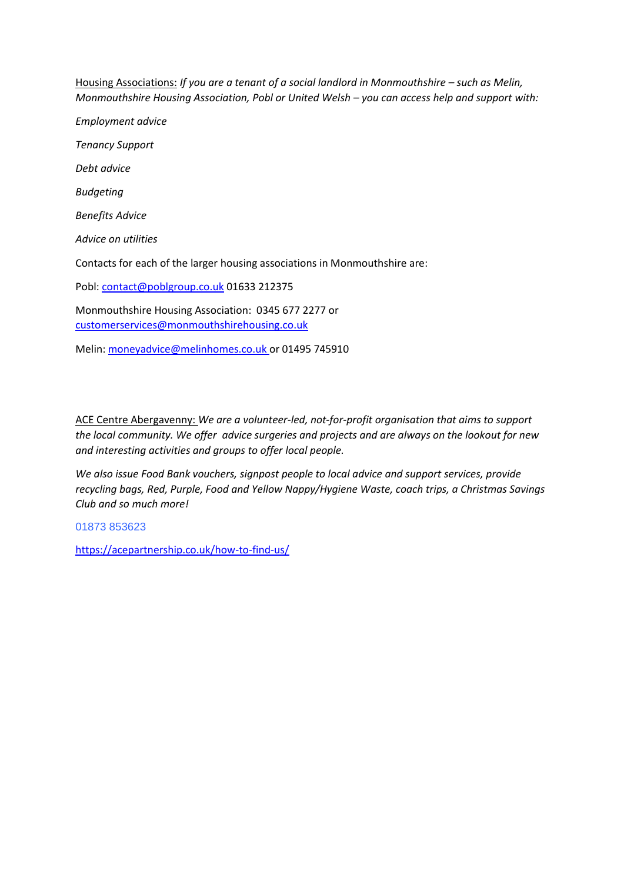Housing Associations: *If you are a tenant of a social landlord in Monmouthshire – such as Melin, Monmouthshire Housing Association, Pobl or United Welsh – you can access help and support with:*

*Employment advice Tenancy Support Debt advice Budgeting Benefits Advice Advice on utilities* Contacts for each of the larger housing associations in Monmouthshire are: Pobl: [contact@poblgroup.co.uk](mailto:contact@poblgroup.co.uk) 01633 212375 Monmouthshire Housing Association: 0345 677 2277 or [customerservices@monmouthshirehousing.co.uk](mailto:customerservices@monmouthshirehousing.co.uk)

Melin: [moneyadvice@melinhomes.co.uk](mailto:moneyadvice@melinhomes.co.uk) or 01495 745910

ACE Centre Abergavenny: *We are a volunteer-led, not-for-profit organisation that aims to support the local community. We offer advice surgeries and projects and are always on the lookout for new and interesting activities and groups to offer local people.*

*We also issue Food Bank vouchers, signpost people to local advice and support services, provide recycling bags, Red, Purple, Food and Yellow Nappy/Hygiene Waste, coach trips, a Christmas Savings Club and so much more!*

01873 853623

<https://acepartnership.co.uk/how-to-find-us/>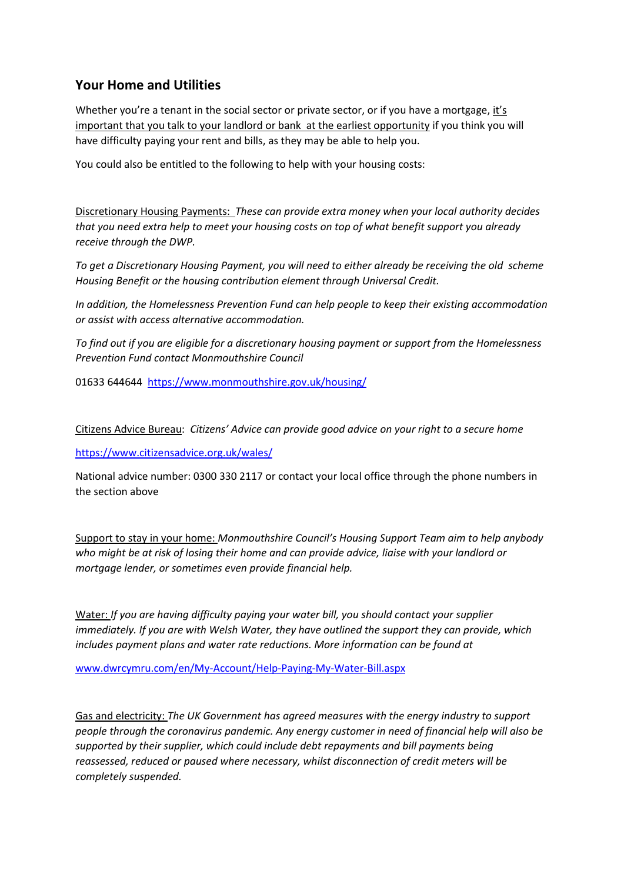### **Your Home and Utilities**

Whether you're a tenant in the social sector or private sector, or if you have a mortgage, it's important that you talk to your landlord or bank at the earliest opportunity if you think you will have difficulty paying your rent and bills, as they may be able to help you.

You could also be entitled to the following to help with your housing costs:

Discretionary Housing Payments: *These can provide extra money when your local authority decides that you need extra help to meet your housing costs on top of what benefit support you already receive through the DWP.*

*To get a Discretionary Housing Payment, you will need to either already be receiving the old scheme Housing Benefit or the housing contribution element through Universal Credit.*

*In addition, the Homelessness Prevention Fund can help people to keep their existing accommodation or assist with access alternative accommodation.*

*To find out if you are eligible for a discretionary housing payment or support from the Homelessness Prevention Fund contact Monmouthshire Council*

01633 644644 <https://www.monmouthshire.gov.uk/housing/>

Citizens Advice Bureau: *Citizens' Advice can provide good advice on your right to a secure home*

<https://www.citizensadvice.org.uk/wales/>

National advice number: 0300 330 2117 or contact your local office through the phone numbers in the section above

Support to stay in your home: *Monmouthshire Council's Housing Support Team aim to help anybody who might be at risk of losing their home and can provide advice, liaise with your landlord or mortgage lender, or sometimes even provide financial help.*

Water: *If you are having difficulty paying your water bill, you should contact your supplier immediately. If you are with Welsh Water, they have outlined the support they can provide, which includes payment plans and water rate reductions. More information can be found at* 

[www.dwrcymru.com/en/My-Account/Help-Paying-My-Water-Bill.aspx](http://www.dwrcymru.com/en/My-Account/Help-Paying-My-Water-Bill.aspx)

Gas and electricity: *The UK Government has agreed measures with the energy industry to support people through the coronavirus pandemic. Any energy customer in need of financial help will also be supported by their supplier, which could include debt repayments and bill payments being reassessed, reduced or paused where necessary, whilst disconnection of credit meters will be completely suspended.*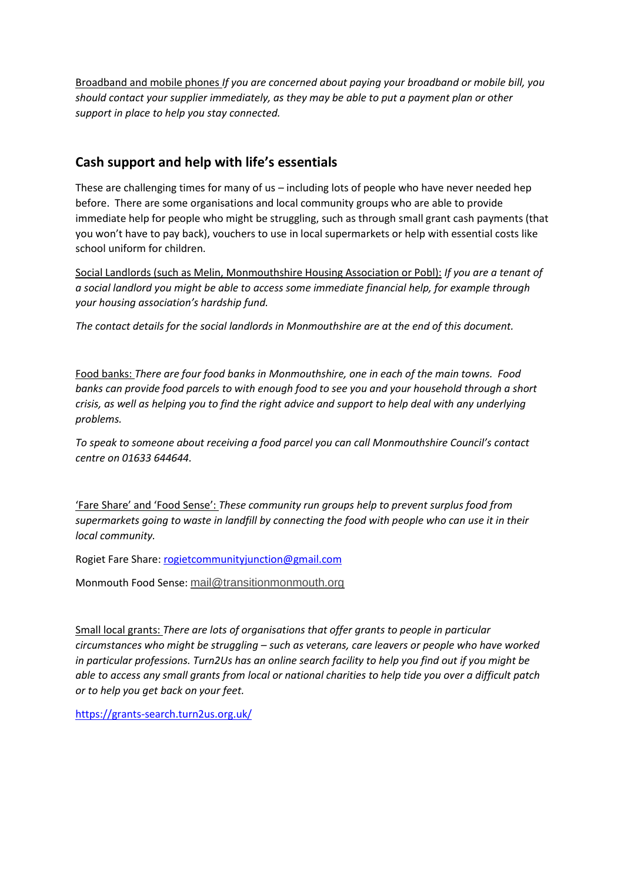Broadband and mobile phones *If you are concerned about paying your broadband or mobile bill, you should contact your supplier immediately, as they may be able to put a payment plan or other support in place to help you stay connected.*

### **Cash support and help with life's essentials**

These are challenging times for many of us – including lots of people who have never needed hep before. There are some organisations and local community groups who are able to provide immediate help for people who might be struggling, such as through small grant cash payments (that you won't have to pay back), vouchers to use in local supermarkets or help with essential costs like school uniform for children.

Social Landlords (such as Melin, Monmouthshire Housing Association or Pobl): *If you are a tenant of a social landlord you might be able to access some immediate financial help, for example through your housing association's hardship fund.*

*The contact details for the social landlords in Monmouthshire are at the end of this document.*

Food banks: *There are four food banks in Monmouthshire, one in each of the main towns. Food banks can provide food parcels to with enough food to see you and your household through a short crisis, as well as helping you to find the right advice and support to help deal with any underlying problems.* 

*To speak to someone about receiving a food parcel you can call Monmouthshire Council's contact centre on 01633 644644.*

'Fare Share' and 'Food Sense': *These community run groups help to prevent surplus food from supermarkets going to waste in landfill by connecting the food with people who can use it in their local community.*

Rogiet Fare Share: [rogietcommunityjunction@gmail.com](mailto:rogietcommunityjunction@gmail.com)

Monmouth Food Sense: [mail@transitionmonmouth.org](mailto:mail@transitionmonmouth.org)

Small local grants: *There are lots of organisations that offer grants to people in particular circumstances who might be struggling – such as veterans, care leavers or people who have worked in particular professions. Turn2Us has an online search facility to help you find out if you might be able to access any small grants from local or national charities to help tide you over a difficult patch or to help you get back on your feet.*

<https://grants-search.turn2us.org.uk/>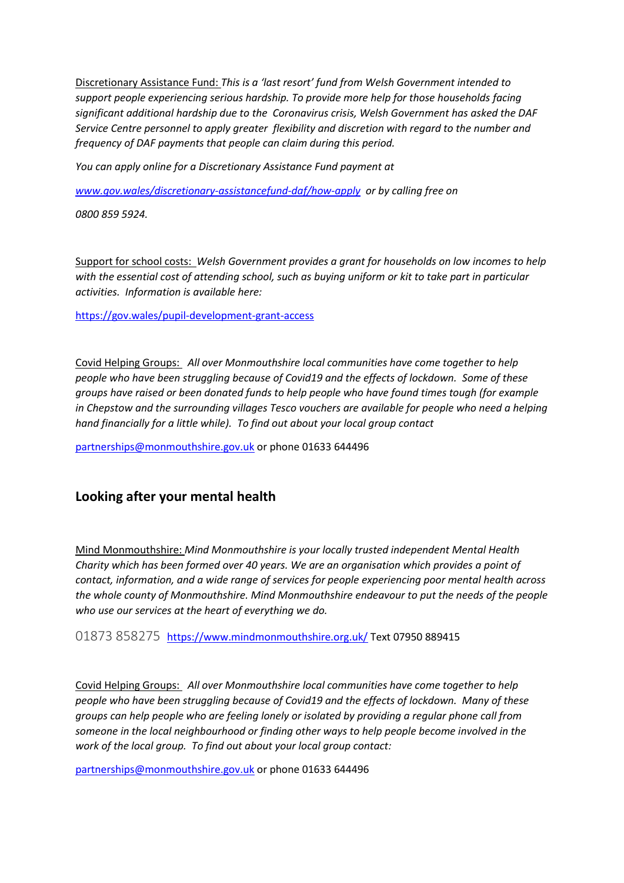Discretionary Assistance Fund: *This is a 'last resort' fund from Welsh Government intended to support people experiencing serious hardship. To provide more help for those households facing significant additional hardship due to the Coronavirus crisis, Welsh Government has asked the DAF Service Centre personnel to apply greater flexibility and discretion with regard to the number and frequency of DAF payments that people can claim during this period.*

*You can apply online for a Discretionary Assistance Fund payment at*

*[www.gov.wales/discretionary-assistancefund-daf/how-apply](http://www.gov.wales/discretionary-assistancefund-daf/how-apply) or by calling free on*

*0800 859 5924.*

Support for school costs: *Welsh Government provides a grant for households on low incomes to help with the essential cost of attending school, such as buying uniform or kit to take part in particular activities. Information is available here:*

<https://gov.wales/pupil-development-grant-access>

Covid Helping Groups: *All over Monmouthshire local communities have come together to help people who have been struggling because of Covid19 and the effects of lockdown. Some of these groups have raised or been donated funds to help people who have found times tough (for example in Chepstow and the surrounding villages Tesco vouchers are available for people who need a helping hand financially for a little while). To find out about your local group contact*

[partnerships@monmouthshire.gov.uk](mailto:partnerships@monmouthshire.gov.uk) or phone 01633 644496

#### **Looking after your mental health**

Mind Monmouthshire: *Mind Monmouthshire is your locally trusted independent Mental Health Charity which has been formed over 40 years. We are an organisation which provides a point of contact, information, and a wide range of services for people experiencing poor mental health across the whole county of Monmouthshire. Mind Monmouthshire endeavour to put the needs of the people who use our services at the heart of everything we do.*

01873 858275 <https://www.mindmonmouthshire.org.uk/> Text 07950 889415

Covid Helping Groups: *All over Monmouthshire local communities have come together to help people who have been struggling because of Covid19 and the effects of lockdown. Many of these groups can help people who are feeling lonely or isolated by providing a regular phone call from someone in the local neighbourhood or finding other ways to help people become involved in the work of the local group. To find out about your local group contact:*

[partnerships@monmouthshire.gov.uk](mailto:partnerships@monmouthshire.gov.uk) or phone 01633 644496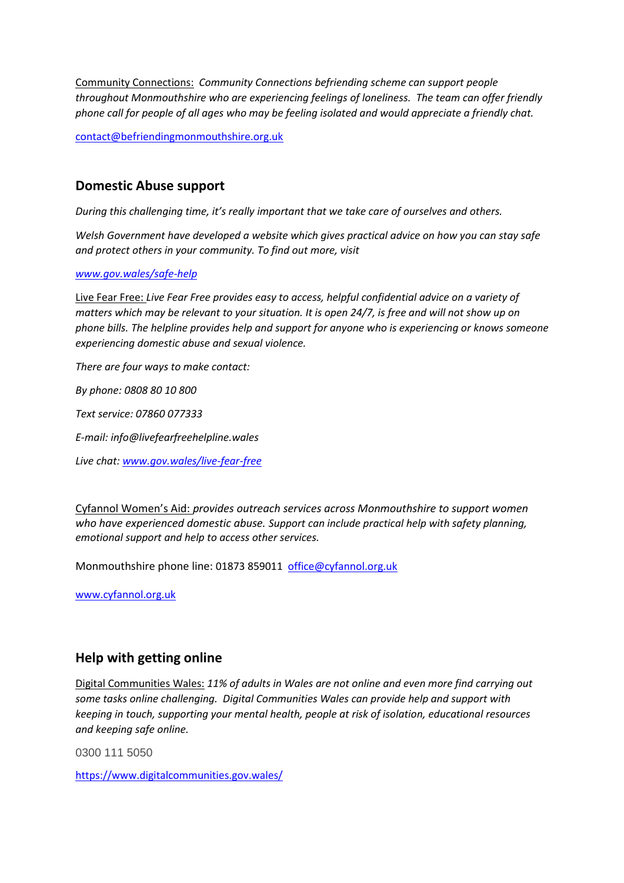Community Connections: *Community Connections befriending scheme can support people throughout Monmouthshire who are experiencing feelings of loneliness. The team can offer friendly phone call for people of all ages who may be feeling isolated and would appreciate a friendly chat.*

[contact@befriendingmonmouthshire.org.uk](mailto:contact@befriendingmonmouthshire.org.uk)

#### **Domestic Abuse support**

*During this challenging time, it's really important that we take care of ourselves and others.*

*Welsh Government have developed a website which gives practical advice on how you can stay safe and protect others in your community. To find out more, visit*

#### *[www.gov.wales/safe-help](http://www.gov.wales/safe-help)*

Live Fear Free: *Live Fear Free provides easy to access, helpful confidential advice on a variety of matters which may be relevant to your situation. It is open 24/7, is free and will not show up on phone bills. The helpline provides help and support for anyone who is experiencing or knows someone experiencing domestic abuse and sexual violence.*

*There are four ways to make contact:*

*By phone: 0808 80 10 800*

*Text service: 07860 077333*

*E-mail: info@livefearfreehelpline.wales*

*Live chat: [www.gov.wales/live-fear-free](http://www.gov.wales/live-fear-free)*

Cyfannol Women's Aid: *provides outreach services across Monmouthshire to support women who have experienced domestic abuse. Support can include practical help with safety planning, emotional support and help to access other services.*

Monmouthshire phone line: 01873 859011 [office@cyfannol.org.uk](mailto:office@cyfannol.org.uk)

[www.cyfannol.org.uk](http://www.cyfannol.org.uk/)

#### **Help with getting online**

Digital Communities Wales: *11% of adults in Wales are not online and even more find carrying out some tasks online challenging. Digital Communities Wales can provide help and support with keeping in touch, supporting your mental health, people at risk of isolation, educational resources and keeping safe online.*

0300 111 5050

<https://www.digitalcommunities.gov.wales/>